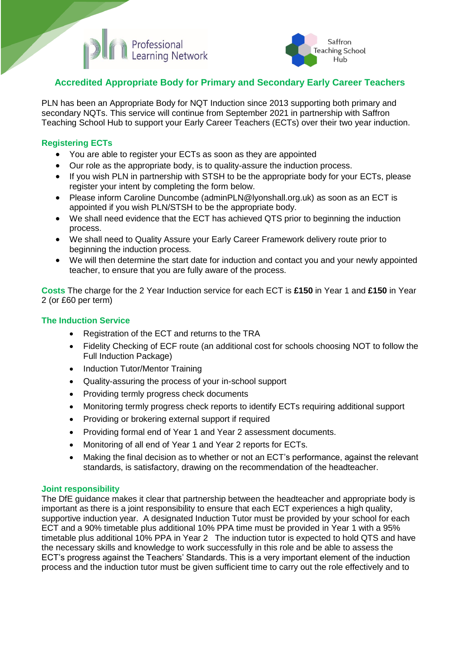



# **Accredited Appropriate Body for Primary and Secondary Early Career Teachers**

PLN has been an Appropriate Body for NQT Induction since 2013 supporting both primary and secondary NQTs. This service will continue from September 2021 in partnership with Saffron Teaching School Hub to support your Early Career Teachers (ECTs) over their two year induction.

# **Registering ECTs**

- You are able to register your ECTs as soon as they are appointed
- Our role as the appropriate body, is to quality-assure the induction process.
- If you wish PLN in partnership with STSH to be the appropriate body for your ECTs, please register your intent by completing the form below.
- Please inform Caroline Duncombe (adminPLN@lyonshall.org.uk) as soon as an ECT is appointed if you wish PLN/STSH to be the appropriate body.
- We shall need evidence that the ECT has achieved QTS prior to beginning the induction process.
- We shall need to Quality Assure your Early Career Framework delivery route prior to beginning the induction process.
- We will then determine the start date for induction and contact you and your newly appointed teacher, to ensure that you are fully aware of the process.

**Costs** The charge for the 2 Year Induction service for each ECT is **£150** in Year 1 and **£150** in Year 2 (or £60 per term)

## **The Induction Service**

- Registration of the ECT and returns to the TRA
- Fidelity Checking of ECF route (an additional cost for schools choosing NOT to follow the Full Induction Package)
- Induction Tutor/Mentor Training
- Quality-assuring the process of your in-school support
- Providing termly progress check documents
- Monitoring termly progress check reports to identify ECTs requiring additional support
- Providing or brokering external support if required
- Providing formal end of Year 1 and Year 2 assessment documents.
- Monitoring of all end of Year 1 and Year 2 reports for ECTs.
- Making the final decision as to whether or not an ECT's performance, against the relevant standards, is satisfactory, drawing on the recommendation of the headteacher.

## **Joint responsibility**

The DfE guidance makes it clear that partnership between the headteacher and appropriate body is important as there is a joint responsibility to ensure that each ECT experiences a high quality, supportive induction year. A designated Induction Tutor must be provided by your school for each ECT and a 90% timetable plus additional 10% PPA time must be provided in Year 1 with a 95% timetable plus additional 10% PPA in Year 2 The induction tutor is expected to hold QTS and have the necessary skills and knowledge to work successfully in this role and be able to assess the ECT's progress against the Teachers' Standards. This is a very important element of the induction process and the induction tutor must be given sufficient time to carry out the role effectively and to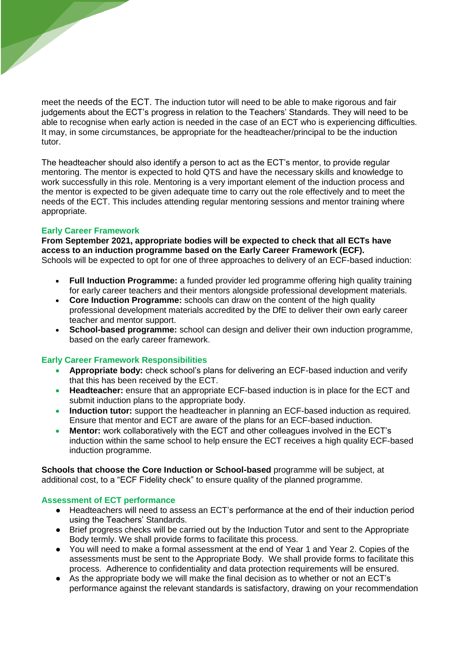meet the needs of the ECT. The induction tutor will need to be able to make rigorous and fair judgements about the ECT's progress in relation to the Teachers' Standards. They will need to be able to recognise when early action is needed in the case of an ECT who is experiencing difficulties. It may, in some circumstances, be appropriate for the headteacher/principal to be the induction tutor.

The headteacher should also identify a person to act as the ECT's mentor, to provide regular mentoring. The mentor is expected to hold QTS and have the necessary skills and knowledge to work successfully in this role. Mentoring is a very important element of the induction process and the mentor is expected to be given adequate time to carry out the role effectively and to meet the needs of the ECT. This includes attending regular mentoring sessions and mentor training where appropriate.

## **Early Career Framework**

**From September 2021, appropriate bodies will be expected to check that all ECTs have access to an induction programme based on the Early Career Framework (ECF).**  Schools will be expected to opt for one of three approaches to delivery of an ECF-based induction:

- **Full Induction Programme:** a funded provider led programme offering high quality training for early career teachers and their mentors alongside professional development materials.
- **Core Induction Programme:** schools can draw on the content of the high quality professional development materials accredited by the DfE to deliver their own early career teacher and mentor support.
- **School-based programme:** school can design and deliver their own induction programme, based on the early career framework.

## **Early Career Framework Responsibilities**

- **Appropriate body:** check school's plans for delivering an ECF-based induction and verify that this has been received by the ECT.
- **Headteacher:** ensure that an appropriate ECF-based induction is in place for the ECT and submit induction plans to the appropriate body.
- **Induction tutor:** support the headteacher in planning an ECF-based induction as required. Ensure that mentor and ECT are aware of the plans for an ECF-based induction.
- **Mentor:** work collaboratively with the ECT and other colleagues involved in the ECT's induction within the same school to help ensure the ECT receives a high quality ECF-based induction programme.

**Schools that choose the Core Induction or School-based** programme will be subject, at additional cost, to a "ECF Fidelity check" to ensure quality of the planned programme.

## **Assessment of ECT performance**

- Headteachers will need to assess an ECT's performance at the end of their induction period using the Teachers' Standards.
- Brief progress checks will be carried out by the Induction Tutor and sent to the Appropriate Body termly. We shall provide forms to facilitate this process.
- You will need to make a formal assessment at the end of Year 1 and Year 2. Copies of the assessments must be sent to the Appropriate Body. We shall provide forms to facilitate this process. Adherence to confidentiality and data protection requirements will be ensured.
- As the appropriate body we will make the final decision as to whether or not an ECT's performance against the relevant standards is satisfactory, drawing on your recommendation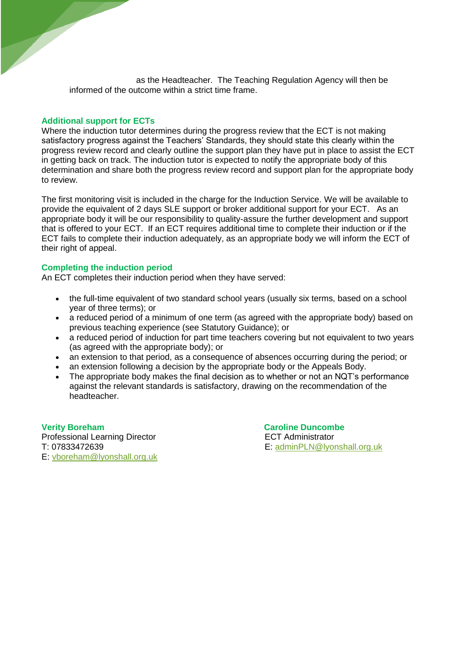as the Headteacher. The Teaching Regulation Agency will then be informed of the outcome within a strict time frame.

### **Additional support for ECTs**

Where the induction tutor determines during the progress review that the ECT is not making satisfactory progress against the Teachers' Standards, they should state this clearly within the progress review record and clearly outline the support plan they have put in place to assist the ECT in getting back on track. The induction tutor is expected to notify the appropriate body of this determination and share both the progress review record and support plan for the appropriate body to review.

The first monitoring visit is included in the charge for the Induction Service. We will be available to provide the equivalent of 2 days SLE support or broker additional support for your ECT. As an appropriate body it will be our responsibility to quality-assure the further development and support that is offered to your ECT. If an ECT requires additional time to complete their induction or if the ECT fails to complete their induction adequately, as an appropriate body we will inform the ECT of their right of appeal.

#### **Completing the induction period**

An ECT completes their induction period when they have served:

- the full-time equivalent of two standard school years (usually six terms, based on a school year of three terms); or
- a reduced period of a minimum of one term (as agreed with the appropriate body) based on previous teaching experience (see Statutory Guidance); or
- a reduced period of induction for part time teachers covering but not equivalent to two years (as agreed with the appropriate body); or
- an extension to that period, as a consequence of absences occurring during the period; or
- an extension following a decision by the appropriate body or the Appeals Body.
- The appropriate body makes the final decision as to whether or not an NQT's performance against the relevant standards is satisfactory, drawing on the recommendation of the headteacher.

**Verity Boreham Caroline Duncombe** Professional Learning Director **ECT** Administrator E: [vboreham@lyonshall.org.uk](mailto:directorPLN@lyonshall.org.uk)

T: 07833472639 E: [adminPLN@lyonshall.org.uk](mailto:adminPLN@lyonshall.org.uk)